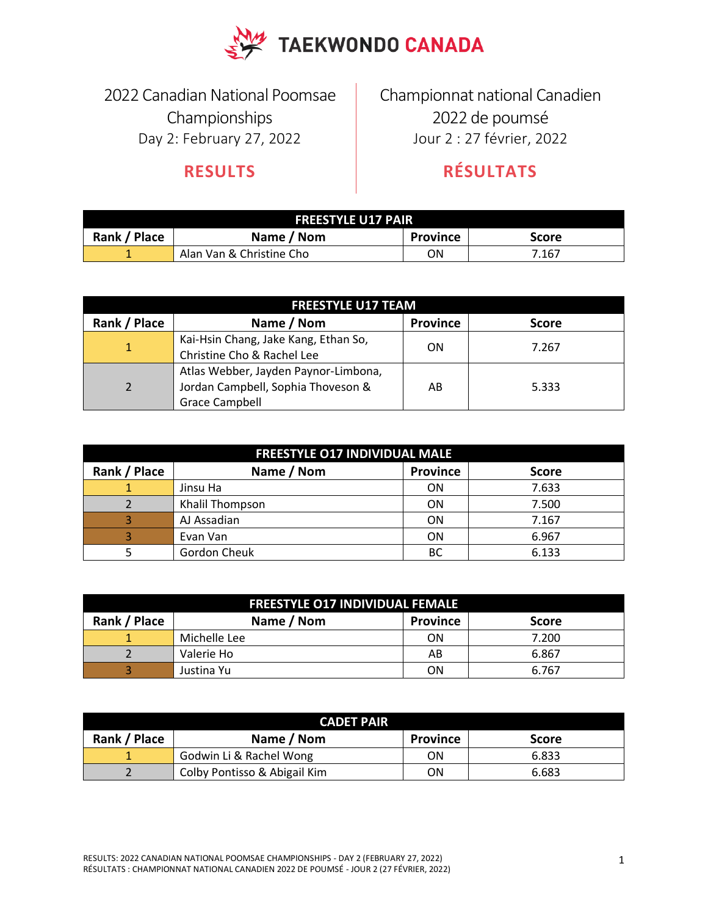

2022 Canadian National Poomsae Championships Day 2: February 27, 2022

## **RESULTS**

Championnat national Canadien 2022 de poumsé Jour 2 : 27 février, 2022

## **RÉSULTATS**

| <b>FREESTYLE U17 PAIR</b>                                     |                          |    |       |  |
|---------------------------------------------------------------|--------------------------|----|-------|--|
| Rank / Place<br>Name / Nom<br><b>Province</b><br><b>Score</b> |                          |    |       |  |
| . .                                                           | Alan Van & Christine Cho | ΟN | 7.167 |  |

| <b>FREESTYLE U17 TEAM</b> |                                                                                                     |                 |              |  |
|---------------------------|-----------------------------------------------------------------------------------------------------|-----------------|--------------|--|
| Rank / Place              | Name / Nom                                                                                          | <b>Province</b> | <b>Score</b> |  |
|                           | Kai-Hsin Chang, Jake Kang, Ethan So,<br>Christine Cho & Rachel Lee                                  | ON              | 7.267        |  |
| $\overline{2}$            | Atlas Webber, Jayden Paynor-Limbona,<br>Jordan Campbell, Sophia Thoveson &<br><b>Grace Campbell</b> | AB              | 5.333        |  |

| <b>FREESTYLE 017 INDIVIDUAL MALE</b> |                 |                 |              |
|--------------------------------------|-----------------|-----------------|--------------|
| Rank / Place                         | Name / Nom      | <b>Province</b> | <b>Score</b> |
|                                      | Jinsu Ha        | <b>ON</b>       | 7.633        |
|                                      | Khalil Thompson | <b>ON</b>       | 7.500        |
| 3                                    | AJ Assadian     | <b>ON</b>       | 7.167        |
| 3                                    | Evan Van        | <b>ON</b>       | 6.967        |
|                                      | Gordon Cheuk    | BC              | 6.133        |

| <b>FREESTYLE 017 INDIVIDUAL FEMALE</b> |              |                 |              |  |
|----------------------------------------|--------------|-----------------|--------------|--|
| Rank / Place                           | Name / Nom   | <b>Province</b> | <b>Score</b> |  |
|                                        | Michelle Lee | ON              | 7.200        |  |
|                                        | Valerie Ho   | AB              | 6.867        |  |
|                                        | Justina Yu   | ΟN              | 6.767        |  |

| <b>CADET PAIR</b> |                              |                 |              |  |
|-------------------|------------------------------|-----------------|--------------|--|
| Rank / Place      | Name / Nom                   | <b>Province</b> | <b>Score</b> |  |
|                   | Godwin Li & Rachel Wong      | ΟN              | 6.833        |  |
|                   | Colby Pontisso & Abigail Kim | ΟN              | 6.683        |  |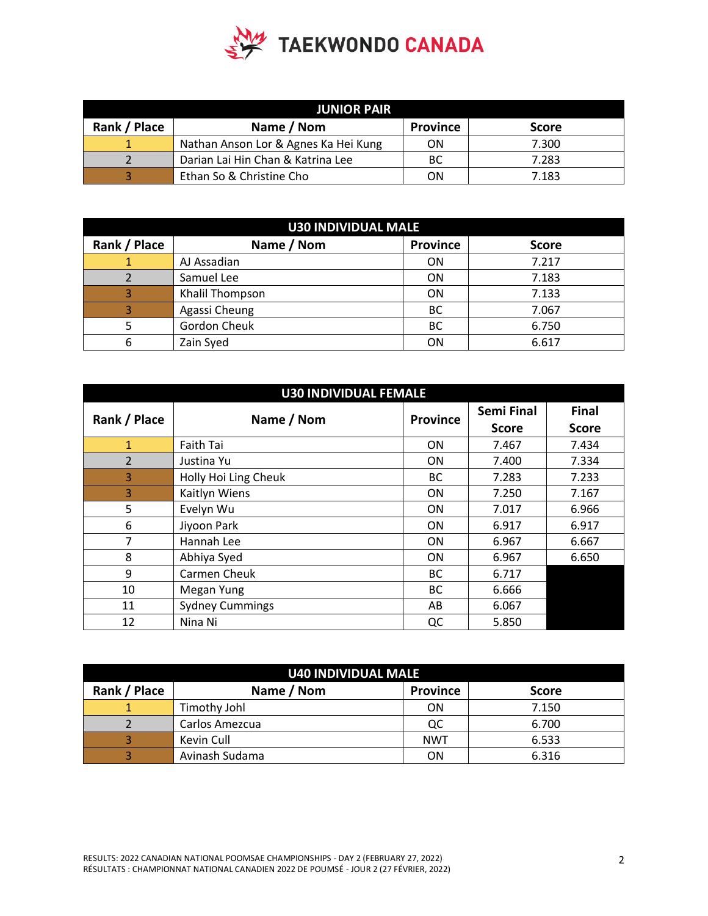

| <b>JUNIOR PAIR</b> |                                      |                 |              |  |
|--------------------|--------------------------------------|-----------------|--------------|--|
| Rank / Place       | Name / Nom                           | <b>Province</b> | <b>Score</b> |  |
|                    | Nathan Anson Lor & Agnes Ka Hei Kung | ON              | 7.300        |  |
|                    | Darian Lai Hin Chan & Katrina Lee    | BC              | 7.283        |  |
|                    | Ethan So & Christine Cho             | ON              | 7.183        |  |

| <b>U30 INDIVIDUAL MALE</b> |                 |                 |              |  |
|----------------------------|-----------------|-----------------|--------------|--|
| Rank / Place               | Name / Nom      | <b>Province</b> | <b>Score</b> |  |
|                            | AJ Assadian     | <b>ON</b>       | 7.217        |  |
|                            | Samuel Lee      | <b>ON</b>       | 7.183        |  |
| 3                          | Khalil Thompson | ON              | 7.133        |  |
| 3                          | Agassi Cheung   | <b>BC</b>       | 7.067        |  |
|                            | Gordon Cheuk    | <b>BC</b>       | 6.750        |  |
| 6                          | Zain Syed       | ON              | 6.617        |  |

| <b>U30 INDIVIDUAL FEMALE</b> |                        |                 |                   |              |
|------------------------------|------------------------|-----------------|-------------------|--------------|
| Rank / Place                 | Name / Nom             | <b>Province</b> | <b>Semi Final</b> | <b>Final</b> |
|                              |                        |                 | <b>Score</b>      | <b>Score</b> |
| $\mathbf{1}$                 | Faith Tai              | <b>ON</b>       | 7.467             | 7.434        |
| $\overline{2}$               | Justina Yu             | ΟN              | 7.400             | 7.334        |
| 3                            | Holly Hoi Ling Cheuk   | ВC              | 7.283             | 7.233        |
| 3                            | Kaitlyn Wiens          | <b>ON</b>       | 7.250             | 7.167        |
| 5                            | Evelyn Wu              | <b>ON</b>       | 7.017             | 6.966        |
| 6                            | Jiyoon Park            | ΟN              | 6.917             | 6.917        |
| 7                            | Hannah Lee             | ΟN              | 6.967             | 6.667        |
| 8                            | Abhiya Syed            | 0N              | 6.967             | 6.650        |
| 9                            | Carmen Cheuk           | ВC              | 6.717             |              |
| 10                           | Megan Yung             | <b>BC</b>       | 6.666             |              |
| 11                           | <b>Sydney Cummings</b> | AB              | 6.067             |              |
| 12                           | Nina Ni                | QC              | 5.850             |              |

| <b>U40 INDIVIDUAL MALE</b> |                |                 |              |  |
|----------------------------|----------------|-----------------|--------------|--|
| Rank / Place               | Name / Nom     | <b>Province</b> | <b>Score</b> |  |
|                            | Timothy Johl   | ON              | 7.150        |  |
|                            | Carlos Amezcua | QC              | 6.700        |  |
|                            | Kevin Cull     | <b>NWT</b>      | 6.533        |  |
|                            | Avinash Sudama | ΟN              | 6.316        |  |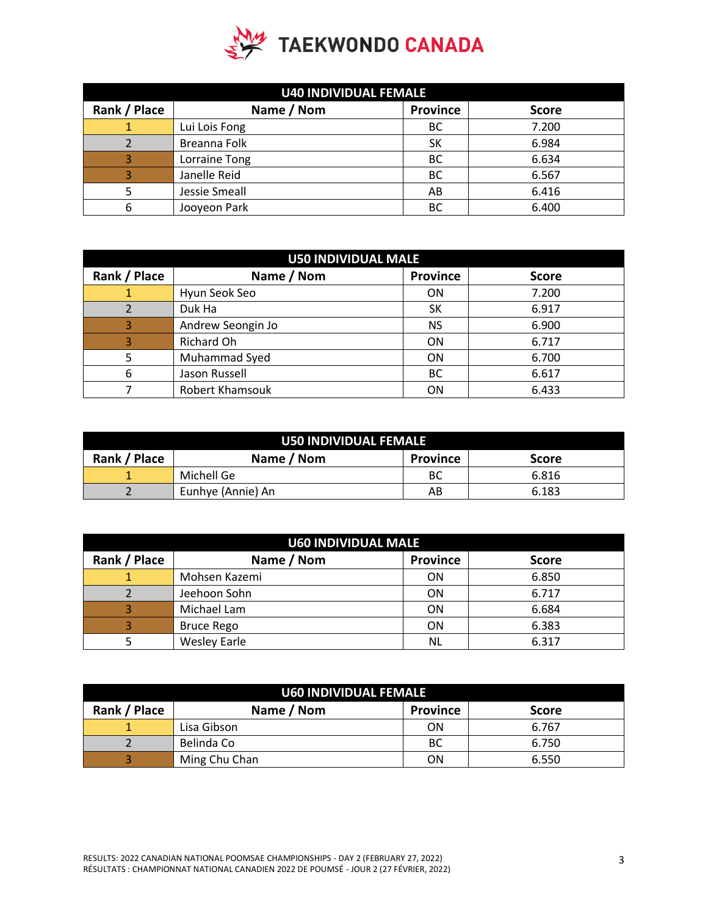

| <b>U40 INDIVIDUAL FEMALE</b> |               |                 |              |  |
|------------------------------|---------------|-----------------|--------------|--|
| Rank / Place                 | Name / Nom    | <b>Province</b> | <b>Score</b> |  |
|                              | Lui Lois Fong | <b>BC</b>       | 7.200        |  |
|                              | Breanna Folk  | SΚ              | 6.984        |  |
| 3                            | Lorraine Tong | <b>BC</b>       | 6.634        |  |
| 3                            | Janelle Reid  | <b>BC</b>       | 6.567        |  |
|                              | Jessie Smeall | AB              | 6.416        |  |
| 6                            | Jooyeon Park  | BC              | 6.400        |  |

| <b>U50 INDIVIDUAL MALE</b> |                        |                 |              |
|----------------------------|------------------------|-----------------|--------------|
| Rank / Place               | Name / Nom             | <b>Province</b> | <b>Score</b> |
| 1                          | Hyun Seok Seo          | <b>ON</b>       | 7.200        |
|                            | Duk Ha                 | SK              | 6.917        |
| 3                          | Andrew Seongin Jo      | <b>NS</b>       | 6.900        |
| 3                          | Richard Oh             | ON              | 6.717        |
|                            | Muhammad Syed          | ON              | 6.700        |
| 6                          | Jason Russell          | <b>BC</b>       | 6.617        |
|                            | <b>Robert Khamsouk</b> | ON              | 6.433        |

| <b>U50 INDIVIDUAL FEMALE</b> |                   |                 |              |
|------------------------------|-------------------|-----------------|--------------|
| Rank / Place                 | Name / Nom        | <b>Province</b> | <b>Score</b> |
|                              | Michell Ge        | BC              | 6.816        |
|                              | Eunhye (Annie) An | AB              | 6.183        |

| <b>U60 INDIVIDUAL MALE</b> |                     |                 |              |
|----------------------------|---------------------|-----------------|--------------|
| Rank / Place               | Name / Nom          | <b>Province</b> | <b>Score</b> |
|                            | Mohsen Kazemi       | <b>ON</b>       | 6.850        |
|                            | Jeehoon Sohn        | <b>ON</b>       | 6.717        |
| 3                          | Michael Lam         | <b>ON</b>       | 6.684        |
| 3                          | <b>Bruce Rego</b>   | <b>ON</b>       | 6.383        |
|                            | <b>Wesley Earle</b> | NL              | 6.317        |

| U60 INDIVIDUAL FEMALE |               |                 |              |
|-----------------------|---------------|-----------------|--------------|
| Rank / Place          | Name / Nom    | <b>Province</b> | <b>Score</b> |
|                       | Lisa Gibson   | ON              | 6.767        |
|                       | Belinda Co    | BC              | 6.750        |
|                       | Ming Chu Chan | ΟN              | 6.550        |